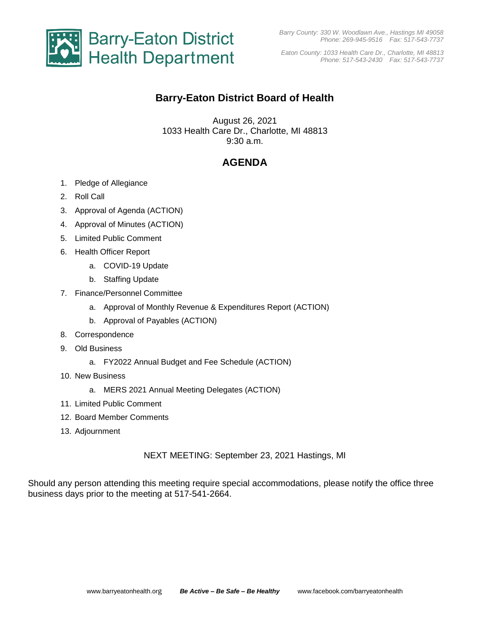

*Eaton County: 1033 Health Care Dr., Charlotte, MI 48813 Phone: 517-543-2430 Fax: 517-543-7737*

## **Barry-Eaton District Board of Health**

August 26, 2021 1033 Health Care Dr., Charlotte, MI 48813 9:30 a.m.

# **AGENDA**

- 1. Pledge of Allegiance
- 2. Roll Call
- 3. Approval of Agenda (ACTION)
- 4. Approval of Minutes (ACTION)
- 5. Limited Public Comment
- 6. Health Officer Report
	- a. COVID-19 Update
	- b. Staffing Update
- 7. Finance/Personnel Committee
	- a. Approval of Monthly Revenue & Expenditures Report (ACTION)
	- b. Approval of Payables (ACTION)
- 8. Correspondence
- 9. Old Business
	- a. FY2022 Annual Budget and Fee Schedule (ACTION)
- 10. New Business
	- a. MERS 2021 Annual Meeting Delegates (ACTION)
- 11. Limited Public Comment
- 12. Board Member Comments
- 13. Adjournment

NEXT MEETING: September 23, 2021 Hastings, MI

Should any person attending this meeting require special accommodations, please notify the office three business days prior to the meeting at 517-541-2664.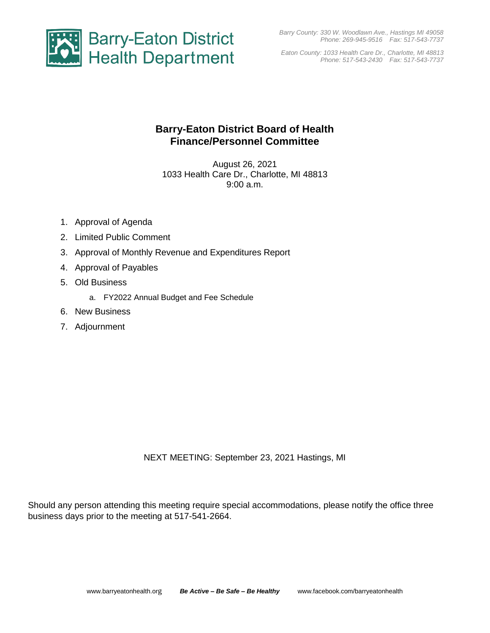*Barry County: 330 W. Woodlawn Ave., Hastings MI 49058 Phone: 269-945-9516 Fax: 517-543-7737*



*Eaton County: 1033 Health Care Dr., Charlotte, MI 48813 Phone: 517-543-2430 Fax: 517-543-7737*

## **Barry-Eaton District Board of Health Finance/Personnel Committee**

August 26, 2021 1033 Health Care Dr., Charlotte, MI 48813 9:00 a.m.

- 1. Approval of Agenda
- 2. Limited Public Comment
- 3. Approval of Monthly Revenue and Expenditures Report
- 4. Approval of Payables
- 5. Old Business
	- a. FY2022 Annual Budget and Fee Schedule
- 6. New Business
- 7. Adjournment

NEXT MEETING: September 23, 2021 Hastings, MI

Should any person attending this meeting require special accommodations, please notify the office three business days prior to the meeting at 517-541-2664.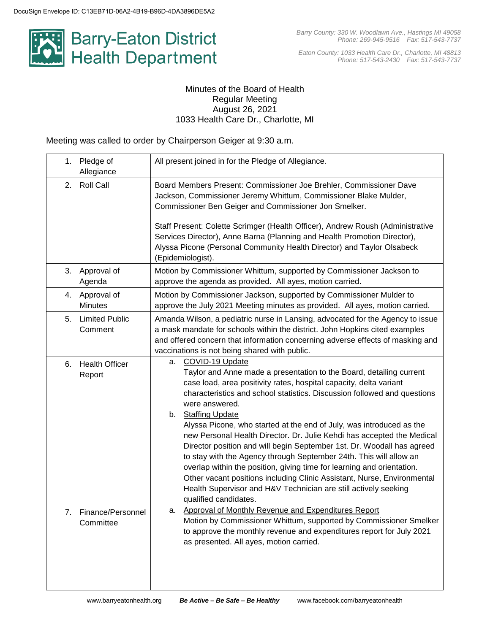

*Eaton County: 1033 Health Care Dr., Charlotte, MI 48813 Phone: 517-543-2430 Fax: 517-543-7737*

#### Minutes of the Board of Health Regular Meeting August 26, 2021 1033 Health Care Dr., Charlotte, MI

Meeting was called to order by Chairperson Geiger at 9:30 a.m.

| 1. | Pledge of<br>Allegiance          | All present joined in for the Pledge of Allegiance.                                                                                                                                                                                                                                                                                                                                                                                                                                                                                                                                                                                                                                                                                                                                                                                       |
|----|----------------------------------|-------------------------------------------------------------------------------------------------------------------------------------------------------------------------------------------------------------------------------------------------------------------------------------------------------------------------------------------------------------------------------------------------------------------------------------------------------------------------------------------------------------------------------------------------------------------------------------------------------------------------------------------------------------------------------------------------------------------------------------------------------------------------------------------------------------------------------------------|
| 2. | <b>Roll Call</b>                 | Board Members Present: Commissioner Joe Brehler, Commissioner Dave<br>Jackson, Commissioner Jeremy Whittum, Commissioner Blake Mulder,<br>Commissioner Ben Geiger and Commissioner Jon Smelker.<br>Staff Present: Colette Scrimger (Health Officer), Andrew Roush (Administrative<br>Services Director), Anne Barna (Planning and Health Promotion Director),<br>Alyssa Picone (Personal Community Health Director) and Taylor Olsabeck<br>(Epidemiologist).                                                                                                                                                                                                                                                                                                                                                                              |
| 3. | Approval of<br>Agenda            | Motion by Commissioner Whittum, supported by Commissioner Jackson to<br>approve the agenda as provided. All ayes, motion carried.                                                                                                                                                                                                                                                                                                                                                                                                                                                                                                                                                                                                                                                                                                         |
|    | 4. Approval of<br><b>Minutes</b> | Motion by Commissioner Jackson, supported by Commissioner Mulder to<br>approve the July 2021 Meeting minutes as provided. All ayes, motion carried.                                                                                                                                                                                                                                                                                                                                                                                                                                                                                                                                                                                                                                                                                       |
| 5. | <b>Limited Public</b><br>Comment | Amanda Wilson, a pediatric nurse in Lansing, advocated for the Agency to issue<br>a mask mandate for schools within the district. John Hopkins cited examples<br>and offered concern that information concerning adverse effects of masking and<br>vaccinations is not being shared with public.                                                                                                                                                                                                                                                                                                                                                                                                                                                                                                                                          |
| 6. | <b>Health Officer</b><br>Report  | COVID-19 Update<br>а.<br>Taylor and Anne made a presentation to the Board, detailing current<br>case load, area positivity rates, hospital capacity, delta variant<br>characteristics and school statistics. Discussion followed and questions<br>were answered.<br>b. Staffing Update<br>Alyssa Picone, who started at the end of July, was introduced as the<br>new Personal Health Director. Dr. Julie Kehdi has accepted the Medical<br>Director position and will begin September 1st. Dr. Woodall has agreed<br>to stay with the Agency through September 24th. This will allow an<br>overlap within the position, giving time for learning and orientation.<br>Other vacant positions including Clinic Assistant, Nurse, Environmental<br>Health Supervisor and H&V Technician are still actively seeking<br>qualified candidates. |
| 7. | Finance/Personnel<br>Committee   | Approval of Monthly Revenue and Expenditures Report<br>а.<br>Motion by Commissioner Whittum, supported by Commissioner Smelker<br>to approve the monthly revenue and expenditures report for July 2021<br>as presented. All ayes, motion carried.                                                                                                                                                                                                                                                                                                                                                                                                                                                                                                                                                                                         |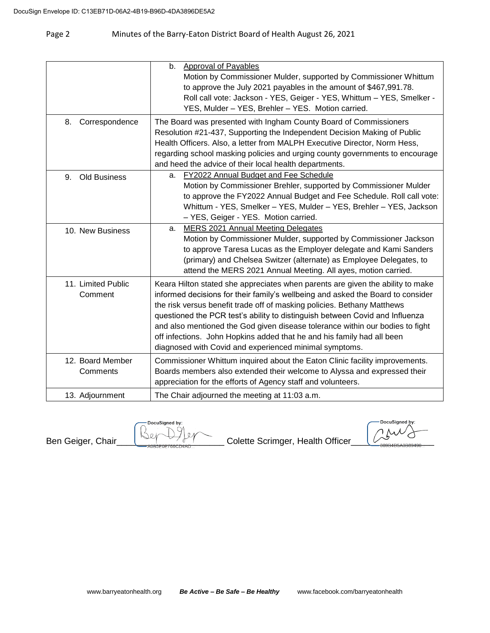### Page 2 Minutes of the Barry-Eaton District Board of Health August 26, 2021

| Correspondence<br>8.          | <b>Approval of Payables</b><br>$b_{-}$<br>Motion by Commissioner Mulder, supported by Commissioner Whittum<br>to approve the July 2021 payables in the amount of \$467,991.78.<br>Roll call vote: Jackson - YES, Geiger - YES, Whittum - YES, Smelker -<br>YES, Mulder - YES, Brehler - YES. Motion carried.<br>The Board was presented with Ingham County Board of Commissioners                                                                                                                                                                 |
|-------------------------------|---------------------------------------------------------------------------------------------------------------------------------------------------------------------------------------------------------------------------------------------------------------------------------------------------------------------------------------------------------------------------------------------------------------------------------------------------------------------------------------------------------------------------------------------------|
|                               | Resolution #21-437, Supporting the Independent Decision Making of Public<br>Health Officers. Also, a letter from MALPH Executive Director, Norm Hess,<br>regarding school masking policies and urging county governments to encourage<br>and heed the advice of their local health departments.                                                                                                                                                                                                                                                   |
| <b>Old Business</b><br>9.     | a. FY2022 Annual Budget and Fee Schedule<br>Motion by Commissioner Brehler, supported by Commissioner Mulder<br>to approve the FY2022 Annual Budget and Fee Schedule. Roll call vote:<br>Whittum - YES, Smelker - YES, Mulder - YES, Brehler - YES, Jackson<br>- YES, Geiger - YES. Motion carried.                                                                                                                                                                                                                                               |
| 10. New Business              | MERS 2021 Annual Meeting Delegates<br>а.<br>Motion by Commissioner Mulder, supported by Commissioner Jackson<br>to approve Taresa Lucas as the Employer delegate and Kami Sanders<br>(primary) and Chelsea Switzer (alternate) as Employee Delegates, to<br>attend the MERS 2021 Annual Meeting. All ayes, motion carried.                                                                                                                                                                                                                        |
| 11. Limited Public<br>Comment | Keara Hilton stated she appreciates when parents are given the ability to make<br>informed decisions for their family's wellbeing and asked the Board to consider<br>the risk versus benefit trade off of masking policies. Bethany Matthews<br>questioned the PCR test's ability to distinguish between Covid and Influenza<br>and also mentioned the God given disease tolerance within our bodies to fight<br>off infections. John Hopkins added that he and his family had all been<br>diagnosed with Covid and experienced minimal symptoms. |
| 12. Board Member<br>Comments  | Commissioner Whittum inquired about the Eaton Clinic facility improvements.<br>Boards members also extended their welcome to Alyssa and expressed their<br>appreciation for the efforts of Agency staff and volunteers.                                                                                                                                                                                                                                                                                                                           |
| 13. Adjournment               | The Chair adjourned the meeting at 11:03 a.m.                                                                                                                                                                                                                                                                                                                                                                                                                                                                                                     |

DocuSigned by:

Ben Geiger, Chair\_\_\_\_\_\_\_\_\_\_\_\_\_\_\_\_\_\_\_\_\_\_\_\_\_\_\_\_\_\_\_\_\_\_Colette Scrimger, Health Officer\_\_\_\_\_\_\_\_\_\_\_\_\_\_\_\_\_

DocuSigne